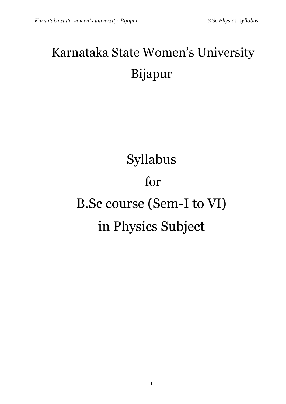# Karnataka State Women's University Bijapur

# Syllabus for B.Sc course (Sem-I to VI) in Physics Subject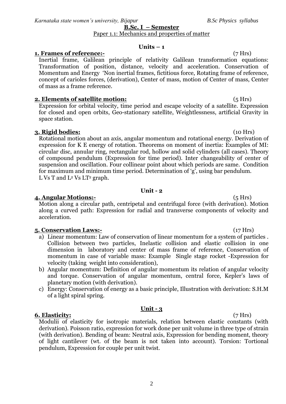### **B.Sc. I – Semester**  Paper 1.1: Mechanics and properties of matter

# $Units - 1$

# **1. Frames of reference:-** (7 Hrs)

Inertial frame, Galilean principle of relativity Galilean transformation equations: Transformation of position, distance, velocity and acceleration. Conservation of Momentum and Energy 'Non inertial frames, fictitious force, Rotating frame of reference, concept of carioles forces, (derivation), Center of mass, motion of Center of mass, Center of mass as a frame reference.

# **2. Elements of satellite motion:** (5 Hrs)

Expression for orbital velocity, time period and escape velocity of a satellite. Expression for closed and open orbits, Geo-stationary satellite, Weightlessness, artificial Gravity in space station.

# **3. Rigid bodies:** (10 Hrs)

Rotational motion about an axis, angular momentum and rotational energy. Derivation of expression for K E energy of rotation. Theorems on moment of inertia: Examples of MI: circular disc, annular ring, rectangular rod, hollow and solid cylinders (all cases). Theory of compound pendulum (Expression for time period). Inter changeability of center of suspension and oscillation. Four collinear point about which periods are same. Condition for maximum and minimum time period. Determination of 'g', using bar pendulum. L Vs T and  $L^2$  Vs LT<sup>2</sup> graph.

# **Unit - 2**

# **4. Angular Motions:-** (5 Hrs)

Motion along a circular path, centripetal and centrifugal force (with derivation). Motion along a curved path: Expression for radial and transverse components of velocity and acceleration.

# **5. Conservation Laws:-** (17 Hrs)

- a) Linear momentum: Law of conservation of linear momentum for a system of particles . Collision between two particles, Inelastic collision and elastic collision in one dimension in laboratory and center of mass frame of reference, Conservation of momentum in case of variable mass: Example Single stage rocket -Expression for velocity (taking weight into consideration),
- b) Angular momentum: Definition of angular momentum its relation of angular velocity and torque. Conservation of angular momentum, central force, Kepler's laws of planetary motion (with derivation).
- c) Energy: Conservation of energy as a basic principle, Illustration with derivation: S.H.M of a light spiral spring.

# **Unit - 3**

### **6. Elasticity:** (7 Hrs) Modulii of elasticity for isotropic materials, relation between elastic constants (with derivation). Poisson ratio, expression for work done per unit volume in three type of strain (with derivation). Bending of beam: Neutral axis, Expression for bending moment, theory of light cantilever (wt. of the beam is not taken into account). Torsion: Tortional pendulum, Expression for couple per unit twist.

2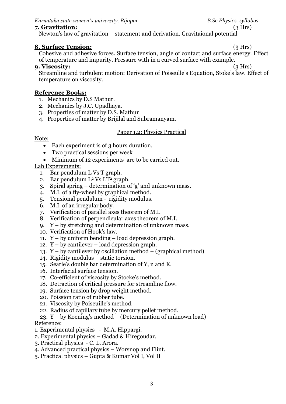# **7. Gravitation:** (3 Hrs)

Newton's law of gravitation – statement and derivation. Gravitaional potential

# **8. Surface Tension:** (3 Hrs)

Cohesive and adhesive forces. Surface tension, angle of contact and surface energy. Effect of temperature and impurity. Pressure with in a curved surface with example.

# **9. Viscosity:** (3 Hrs)

Streamline and turbulent motion: Derivation of Poiseulle's Equation, Stoke's law. Effect of temperature on viscosity.

# **Reference Books:**

- 1. Mechanics by D.S Mathur.
- 2. Mechanics by J.C. Upadhaya.
- 3. Properties of matter by D.S. Mathur
- 4. Properties of matter by Brijilal and Subramanyam.

# Paper 1.2: Physics Practical

# Note:

- Each experiment is of 3 hours duration.
- Two practical sessions per week
- Minimum of 12 experiments are to be carried out.

# Lab Experements:

- 1. Bar pendulum L Vs T graph.
- 2. Bar pendulum  $L^2$  Vs  $LT^2$  graph.
- 3. Spiral spring determination of 'g' and unknown mass.
- 4. M.I. of a fly-wheel by graphical method.
- 5. Tensional pendulum rigidity modulus.
- 6. M.I. of an irregular body.
- 7. Verification of parallel axes theorem of M.I.
- 8. Verification of perpendicular axes theorem of M.I.
- 9. Y by stretching and determination of unknown mass.
- 10. Verification of Hook's law.
- 11. Y by uniform bending load depression graph.
- 12.  $Y by$  cantilever load depression graph.
- 13. Y by cantilever by oscillation method (graphical method)
- 14. Rigidity modulus static torsion.
- 15. Searle's double bar determination of Y, n and K.
- 16. Interfacial surface tension.
- 17. Co-efficient of viscosity by Stocke's method.
- 18. Detraction of critical pressure for streamline flow.
- 19. Surface tension by drop weight method.
- 20. Poission ratio of rubber tube.
- 21. Viscosity by Poiseuille's method.
- 22. Radius of capillary tube by mercury pellet method.
- 23. Y by Koening's method (Determination of unknown load) Reference:
- 1. Experimental physics M.A. Hippargi.
- 2. Experimental physics Gadad & Hiregoudar.
- 3. Practical physics C. L. Arora.
- 4. Advanced practical physics Worsnop and Flint.
- 5. Practical physics Gupta & Kumar Vol I, Vol II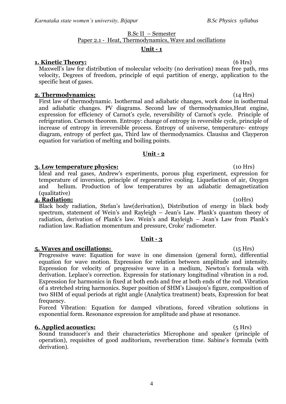# B.Sc II – Semester Paper 2.1 - Heat, Thermodynamics, Wave and oscillations

# **Unit - 1**

# **1. Kinetic Theory:** (6 Hrs)

Maxwell's law for distribution of molecular velocity (no derivation) mean free path, rms velocity, Degrees of freedom, principle of equi partition of energy, application to the specific heat of gases.

# **2. Thermodynamics:** (14 Hrs)

First law of thermodynamic. Isothermal and adiabatic changes, work done in isothermal and adiabatic changes. PV diagrams. Second law of thermodynamics,Heat engine, expression for efficiency of Carnot's cycle, reversibility of Carnot's cycle. Principle of refrigeration. Carnots theorem. Entropy: change of entropy in reversible cycle, principle of increase of entropy in irreversible process. Entropy of universe, temperature- entropy diagram, entropy of perfect gas, Third law of thermodynamics. Clausius and Clayperon equation for variation of melting and boiling points.

### **Unit - 2**

# **3. Low temperature physics:** (10 Hrs)

Ideal and real gases, Andrew's experiments, porous plug experiment, expression for temperature of inversion, principle of regenerative cooling. Liquefaction of air, Oxygen and helium. Production of low temperatures by an adiabatic demagnetization (qualitative)

### **4. Radiation:** (10Hrs)

Black body radiation, Stefan's law(derivation), Distribution of energy in black body spectrum, statement of Wein's and Rayleigh – Jean's Law. Plank's quantum theory of radiation, derivation of Plank's law. Wein's and Rayleigh – Jean's Law from Plank's radiation law. Radiation momentum and pressure, Croke' radiometer.

# **Unit - 3**

# **5. Waves and oscillations:** (15 Hrs)

Progressive wave: Equation for wave in one dimension (general form), differential equation for wave motion. Expression for relation between amplitude and intensity. Expression for velocity of progressive wave in a medium, Newton's formula with derivation. Leplace's correction. Expressin for stationary longitudinal vibration in a rod. Expression for harmonics in fixed at both ends and free at both ends of the rod. Vibration of a stretched string harmonics. Super position of SHM's Lissajou's figure, composition of two SHM of equal periods at right angle (Analytica treatment) beats, Expression for beat frequency.

Forced Vibration: Equation for damped vibrations, forced vibration solutions in exponential form. Resonance expression for amplitude and phase at resonance.

# **6. Applied acoustics:** (5 Hrs)

Sound transducer's and their characteristics Microphone and speaker (principle of operation), requisites of good auditorium, reverberation time. Sabine's formula (with derivation).

4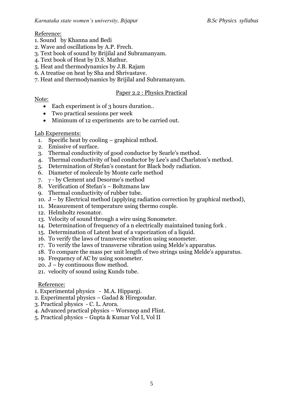# Reference:

- 1. Sound by Khanna and Bedi
- 2. Wave and oscillations by A.P. Frech.
- 3. Text book of sound by Brijilal and Subramanyam.
- 4. Text book of Heat by D.S. Mathur.
- 5. Heat and thermodynamics by J.B. Rajam
- 6. A treatise on heat by Sha and Shrivastave.
- 7. Heat and thermodynamics by Brijilal and Subramanyam.

# Paper 2.2 : Physics Practical

# Note:

- Each experiment is of 3 hours duration..
- Two practical sessions per week
- Minimum of 12 experiments are to be carried out.

# Lab Experements:

- 1. Specific heat by cooling graphical mthod.
- 2. Emissive of surface.
- 3. Thermal conductivity of good conductor by Searle's method.
- 4. Thermal conductivity of bad conductor by Lee's and Charlaton's method.
- 5. Determination of Stefan's constant for Black body radiation.
- 6. Diameter of molecule by Monte carle method
- 7.  $\gamma$  by Clement and Desorme's method
- 8. Verification of Stefan's Boltzmans law
- 9. Thermal conductivity of rubber tube.
- 10. J by Electrical method (applying radiation correction by graphical method),
- 11. Measurement of temperature using thermo couple.
- 12. Helmholtz resonator.
- 13. Velocity of sound through a wire using Sonometer.
- 14. Determination of frequency of a n electrically maintained tuning fork .
- 15. Determination of Latent heat of a vaporization of a liquid.
- 16. To verify the laws of transverse vibration using sonometer.
- 17. To verify the laws of transverse vibration using Melde's apparatus.
- 18. To compare the mass per unit length of two strings using Melde's apparatus.
- 19. Frequency of AC by using sonometer.
- 20. J by continuous flow method.
- 21. velocity of sound using Kunds tube.

# Reference:

- 1. Experimental physics M.A. Hippargi.
- 2. Experimental physics Gadad & Hiregoudar.
- 3. Practical physics C. L. Arora.
- 4. Advanced practical physics Worsnop and Flint.
- 5. Practical physics Gupta & Kumar Vol I, Vol II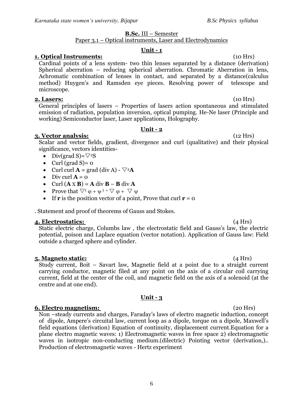# **B.Sc.** III – Semester

# Paper 3.1 – Optical instruments, Laser and Electrodynamics

# **Unit - 1**

# **1. Optical Instruments:** (10 Hrs)

Cardinal points of a lens system- two thin lenses separated by a distance (derivation) Spherical aberration – reducing spherical aberration. Chromatic Aberration in lens, Achromatic combination of lenses in contact, and separated by a distance(calculus method) Huygen's and Ramsden eye pieces. Resolving power of telescope and microscope.

# **2. Lasers:** (10 Hrs)

General principles of lasers – Properties of lasers action spontaneous and stimulated emission of radiation, population inversion, optical pumping. He-Ne laser (Principle and working) Semiconductor laser, Laser applications, Holography.

# **Unit - 2**

# **3. Vector analysis:** (12 Hrs)

Scalar and vector fields, gradient, divergence and curl (qualitative) and their physical significance, vectors identities-

- Div(grad S)= $\nabla^2$ S
- Curl (grad  $S$ ) = 0
- Curl curl  $\mathbf{A} = \text{grad } (\text{div } \mathbf{A}) \nabla^2 \mathbf{A}$
- $\bullet$  Div curl  $\mathbf{A} = \mathbf{0}$
- $\bullet$  Curl  $(A \times B) = A$  div  $B B$  div  $A$
- Prove that  $\nabla^{\left(\phi + \psi\right)} = \nabla \phi + \nabla \psi$
- If **r** is the position vector of a point, Prove that curl  $\mathbf{r} = \mathbf{0}$

. Statement and proof of theorems of Gauss and Stokes.

# **4. Electrostatics:** (4 Hrs)

Static electric charge, Columbs law , the electrostatic field and Gauss's law, the electric potential, poison and Laplace equation (vector notation). Application of Gauss law: Field outside a charged sphere and cylinder.

# **5. Magneto static:** (4 Hrs)

Study current, Boit – Savart law, Magnetic field at a point due to a straight current carrying conductor, magnetic filed at any point on the axis of a circular coil carrying current, field at the center of the coil, and magnetic field on the axis of a solenoid (at the centre and at one end).

# **Unit - 3**

# **6. Electro magnetism:** (20 Hrs)

Non –steady currents and charges, Faraday's laws of electro magnetic induction, concept of dipole, Ampere's circuital law, current loop as a dipole, torque on a dipole, Maxwell's field equations (derivation) Equation of continuity, displacement current.Equation for a plane electro magnetic waves: 1) Electromagnetic waves in free space 2) electromagnetic waves in isotropic non-conducting medium.(dilectric) Pointing vector (derivation,).. Production of electromagnetic waves - Hertz experiment

6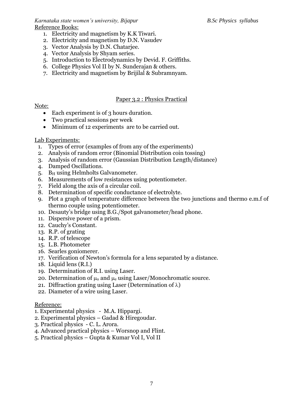### *Karnataka state women's university, Bijapur B.Sc Physics syllabus* Reference Books:

- 1. Electricity and magnetism by K.K Tiwari.
- 2. Electricity and magnetism by D.N. Vasudev
- 3. Vector Analysis by D.N. Chatarjee.
- 4. Vector Analysis by Shyam series.
- 5. Introduction to Electrodynamics by Devid. F. Griffiths.
- 6. College Physics Vol II by N. Sunderajan & others.
- 7. Electricity and magnetism by Brijilal & Subramnyam.

# Paper 3.2 : Physics Practical

# Note:

- Each experiment is of 3 hours duration.
- Two practical sessions per week
- Minimum of 12 experiments are to be carried out.

# Lab Experiments:

- 1. Types of error (examples of from any of the experiments)
- 2. Analysis of random error (Binomial Distribution coin tossing)
- 3. Analysis of random error (Gaussian Distribution Length/distance)
- 4. Damped Oscillations.
- 5. B<sub>H</sub> using Helmholts Galvanometer.
- 6. Measurements of low resistances using potentiometer.
- 7. Field along the axis of a circular coil.
- 8. Determination of specific conductance of electrolyte.
- 9. Plot a graph of temperature difference between the two junctions and thermo e.m.f of thermo couple using potentiometer.
- 10. Desauty's bridge using B.G./Spot galvanometer/head phone.
- 11. Dispersive power of a prism.
- 12. Cauchy's Constant.
- 13. R.P. of grating
- 14. R.P. of telescope
- 15. L.B. Photometer
- 16. Searles goniomerer.
- 17. Verification of Newton's formula for a lens separated by a distance.
- 18. Liquid lens (R.I.)
- 19. Determination of R.I. using Laser.
- 20. Determination of  $\mu_0$  and  $\mu_e$  using Laser/Monochromatic source.
- 21. Diffraction grating using Laser (Determination of  $\lambda$ )
- 22. Diameter of a wire using Laser.

# Reference:

- 1. Experimental physics M.A. Hippargi.
- 2. Experimental physics Gadad & Hiregoudar.
- 3. Practical physics C. L. Arora.
- 4. Advanced practical physics Worsnop and Flint.
- 5. Practical physics Gupta & Kumar Vol I, Vol II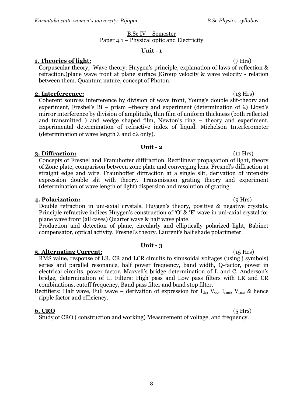# B.Sc IV – Semester Paper 4.1 – Physical optic and Electricity

# **Unit - 1**

# **1. Theories of light:** (7 Hrs)

Corpuscular theory, Wave theory: Huygen's principle, explanation of laws of reflection & refraction.(plane wave front at plane surface )Group velocity & wave velocity - relation between them. Quantum nature, concept of Photon.

# **2. Interfereence:** (13 Hrs)

Coherent sources interference by division of wave front, Young's double slit-theory and experiment, Freshel's Bi – prism –theory and experiment (determination of  $\lambda$ ) Lloyd's mirror interference by division of amplitude, thin film of uniform thickness (both reflected and transmitted ) and wedge shaped film, Newton's ring – theory and experiment. Experimental determination of refractive index of liquid. Michelson Interferometer (determination of wave length  $\lambda$  and  $d\lambda$  only).

# **Unit - 2**

# **3. Diffraction:** (11 Hrs)

Concepts of Fresnel and Franuhoffer diffiraction. Rectilinear propagation of light, theory of Zone plate, comparison between zone plate and converging lens. Fresnel's diffraction at straight edge and wire. Fraunhoffer diffraction at a single slit, derivation of intensity expression double slit with theory. Transmission grating theory and experiment (determination of wave length of light) dispersion and resolution of grating.

# **4. Polarization:** (9 Hrs)

Double refraction in uni-axial crystals. Huygen's theory, positive & negative crystals. Principle refractive indices Huygen's construction of 'O' & 'E' wave in uni-axial crystal for plane wave front (all cases) Quarter wave & half wave plate.

Production and detection of plane, circularly and elliptically polarized light, Babinet compensator, optical activity, Fresnel's theory. Laurent's half shade polarimeter.

# **Unit - 3**

**5. Alternating Current:** (15 Hrs) RMS value, response of LR, CR and LCR circuits to sinusoidal voltages (using j symbols) series and parallel resonance, half power frequency, band width, Q-factor, power in electrical circuits, power factor. Maxvell's bridge determination of L and C. Anderson's bridge, determination of L. Filters: High pass and Low pass filters with LR and CR combinations, cutoff frequency, Band pass filter and band stop filter.

Rectifiers: Half wave, Full wave – derivation of expression for  $I_{dc}$ ,  $V_{dc}$ ,  $I_{rms}$ ,  $V_{rms}$  & hence ripple factor and efficiency.

# **6. CRO** (5 Hrs)

Study of CRO ( construction and working) Measurement of voltage, and frequency.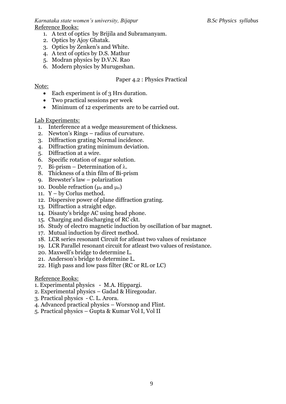*Karnataka state women's university, Bijapur B.Sc Physics syllabus* Reference Books:

- 1. A text of optics by Brijila and Subramanyam.
- 2. Optics by Ajoy Ghatak.
- 3. Optics by Zenken's and White.
- 4. A text of optics by D.S. Mathur
- 5. Modran physics by D.V.N. Rao
- 6. Modern physics by Murugeshan.

# Paper 4.2 : Physics Practical

### Note:

- Each experiment is of 3 Hrs duration.
- Two practical sessions per week
- Minimum of 12 experiments are to be carried out.

# Lab Experiments:

- 1. Interference at a wedge measurement of thickness.
- 2. Newton's Rings radius of curvature.
- 3. Diffraction grating Normal incidence.
- 4. Diffraction grating minimum deviation.
- 5. Diffraction at a wire.
- 6. Specific rotation of sugar solution.
- 7. Bi-prism Determination of  $\lambda$ .
- 8. Thickness of a thin film of Bi-prism
- 9. Brewster's law polarization
- 10. Double refraction  $(\mu_e \text{ and } \mu_o)$
- 11. Y by Corlus method.
- 12. Dispersive power of plane diffraction grating.
- 13. Diffraction a straight edge.
- 14. Disauty's bridge AC using head phone.
- 15. Charging and discharging of RC ckt.
- 16. Study of electro magnetic induction by oscillation of bar magnet.
- 17. Mutual induction by direct method.
- 18. LCR series resonant Circuit for atleast two values of resistance
- 19. LCR Parallel resonant circuit for atleast two values of resistance.
- 20. Maxwell's bridge to determine L.
- 21. Anderson's bridge to determine L.
- 22. High pass and low pass filter (RC or RL or LC)

- 1. Experimental physics M.A. Hippargi.
- 2. Experimental physics Gadad & Hiregoudar.
- 3. Practical physics C. L. Arora.
- 4. Advanced practical physics Worsnop and Flint.
- 5. Practical physics Gupta & Kumar Vol I, Vol II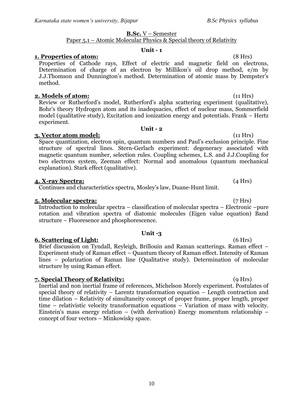# **B.Sc.** V – Semester

# Paper 5.1 – Atomic Molecular Physics & Special theory of Relativity

# **Unit - 1**

# **1. Properties of atom:** (8 Hrs)

Properties of Cathode rays, Effect of electric and magnetic field on electrons, Determination of charge of an electron by Millikon's oil drop method, e/m by J.J.Thomson and Dunnington's method. Determination of atomic mass by Dempster's method.

# **2. Models of atom:** (11 Hrs)

Review or Rutherford's model, Rutherford's alpha scattering experiment (qualitative), Bohr's theory Hydrogen atom and its inadequacies, effect of nuclear mass, Sommerfield model (qualitative study), Excitation and ionization energy and potentials. Frank – Hertz experiment.

# **3. Vector atom model:** (11 Hrs)

Space quantization, electron spin, quantum numbers and Paul's exclusion principle. Fine structure of spectral lines. Stern-Gerlach experiment: degeneracy associated with magnetic quantum number, selection rules. Coupling schemes, L.S. and J.J.Coupling for two electrons system, Zeeman effect: Normal and anomalous (quantum mechanical explanation). Stark effect (qualitative).

# **4. X-ray Spectra:** (4 Hrs)

Continues and characteristics spectra, Mosley's law, Duane-Hunt limit.

# **5. Molecular spectra:** (7 Hrs)

Introduction to molecular spectra – classification of molecular spectra – Electronic –pure rotation and vibration spectra of diatomic molecules (Eigen value equation) Band structure – Fluoresence and phosphorescence.

# **Unit -3**

# **6. Scattering of Light:** (6 Hrs)

Brief discussion on Tyndall, Reyleigh, Brillouin and Raman scatterings. Raman effect – Experiment study of Raman effect – Quantum theory of Raman effect. Intensity of Raman lines – polarization of Raman line (Qualitative study). Determination of molecular structure by using Raman effect.

# **7. Special Theory of Relativity:** (9 Hrs)

Inertial and non inertial frame of references, Michelson Morely experiment. Postulates of special theory of relativity – Larentz transformation equation – Length contraction and time dilation – Relativity of simultaneity concept of proper frame, proper length, proper time – relativistic velocity transformation equations – Variation of mass with velocity. Einstein's mass energy relation – (with derivation) Energy momentum relationship – concept of four vectors – Minkowisky space.

# **Unit - 2**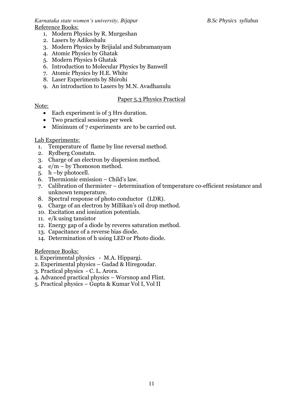*Karnataka state women's university, Bijapur B.Sc Physics syllabus* Reference Books:

- 1. Modern Physics by R. Murgeshan
- 2. Lasers by Adikeshalu
- 3. Modern Physics by Brijialal and Subramanyam
- 4. Atomic Physics by Ghatak
- 5. Modern Physics b Ghatak
- 6. Introduction to Molecular Physics by Banwell
- 7. Atomic Physics by H.E. White
- 8. Laser Experiments by Shirohi
- 9. An introduction to Lasers by M.N. Avadhanulu

# Paper 5.3 Physics Practical

# Note:

- Each experiment is of 3 Hrs duration.
- Two practical sessions per week
- Minimum of 7 experiments are to be carried out.

# Lab Experiments:

- 1. Temperature of flame by line reversal method.
- 2. Rydberg Constatn.
- 3. Charge of an electron by dispersion method.
- 4. e/m by Thomoson method.
- 5. h –by photocell.
- 6. Thermionic emission Child's law.
- 7. Calibration of thermister determination of temperature co-efficient resistance and unknown temperature.
- 8. Spectral response of photo conductor (LDR).
- 9. Charge of an electron by Millikan's oil drop method.
- 10. Excitation and ionization potentials.
- 11. e/k using tansistor
- 12. Energy gap of a diode by reveres saturation method.
- 13. Capacitance of a reverse bias diode.
- 14. Determination of h using LED or Photo diode.

- 1. Experimental physics M.A. Hippargi.
- 2. Experimental physics Gadad & Hiregoudar.
- 3. Practical physics C. L. Arora.
- 4. Advanced practical physics Worsnop and Flint.
- 5. Practical physics Gupta & Kumar Vol I, Vol II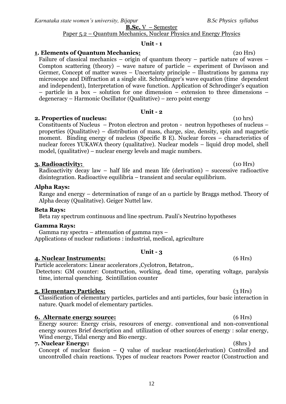*Karnataka state women's university, Bijapur B.Sc Physics syllabus*

**B.Sc.** V – Semester

# Paper 5.2 – Quantum Mechanics, Nuclear Physics and Energy Physics

# **Unit - 1**

# **1. Elements of Quantum Mechanics:** (20 Hrs)

Failure of classical mechanics – origin of quantum theory – particle nature of waves – Compton scattering (theory) – wave nature of particle – experiment of Davisson and Germer, Concept of matter waves – Uncertainty principle – Illustrations by gamma ray microscope and Diffraction at a single slit. Schrodinger's wave equation (time dependent and independent), Interpretation of wave function. Application of Schrodinger's equation – particle in a box – solution for one dimension – extension to three dimensions – degeneracy – Harmonic Oscillator (Qualitative) – zero point energy

### **Unit - 2**

# **2. Properties of nucleus:** (10 hrs)

Constituents of Nucleus – Proton electron and proton - neutron hypotheses of nucleus – properties (Qualitative) – distribution of mass, charge, size, density, spin and magnetic moment. Binding energy of nucleus (Specific B E). Nuclear forces – characteristics of nuclear forces YUKAWA theory (qualitative). Nuclear models – liquid drop model, shell model, (qualitative) – nuclear energy levels and magic numbers.

### **3. Radioactivity:** (10 Hrs)

Radioactivity decay law – half life and mean life (derivation) – successive radioactive disintegration. Radioactive equilibria – transient and secular equilibrium.

# **Alpha Rays:**

Range and energy – determination of range of an  $\alpha$  particle by Braggs method. Theory of Alpha decay (Qualitative). Geiger Nuttel law.

### **Beta Rays:**

Beta ray spectrum continuous and line spectrum. Pauli's Neutrino hypotheses

### **Gamma Rays:**

Gamma ray spectra – attenuation of gamma rays – Applications of nuclear radiations : industrial, medical, agriculture

# **Unit - 3**

# **4. Nuclear Instruments:** (6 Hrs)

Particle accelerators: Linear accelerators ,Cyclotron, Betatron,. Detectors: GM counter: Construction, working, dead time, operating voltage, paralysis time, internal quenching. Scintillation counter

### **5. Elementary Particles:** (3 Hrs)

Classification of elementary particles, particles and anti particles, four basic interaction in nature. Quark model of elementary particles.

### **6. Alternate energy source:** (6 Hrs)

Energy source: Energy crisis, resources of energy. conventional and non-conventional energy sources Brief description and utilization of other sources of energy : solar energy, Wind energy, Tidal energy and Bio energy.

# **7. Nuclear Energy:** (8hrs )

Concept of nuclear fission – Q value of nuclear reaction(derivation) Controlled and uncontrolled chain reactions. Types of nuclear reactors Power reactor (Construction and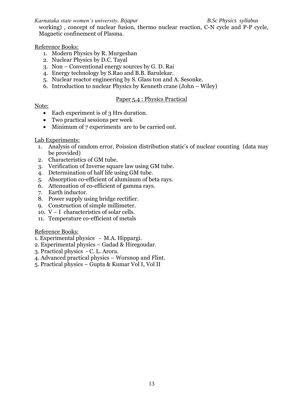*Karnataka state women's university, Bijapur B.Sc Physics syllabus*

working) , concept of nuclear fusion, thermo nuclear reaction, C-N cycle and P-P cycle, Magnetic confinement of Plasma.

# Reference Books:

- 1. Modern Physics by R. Murgeshan
- 2. Nuclear Physics by D.C. Tayal
- 3. Non Conventional energy sources by G. D. Rai
- 4. Energy technology by S.Rao and B.B. Barulekar.
- 5. Nuclear reactor engineering by S. Glass ton and A. Sesonke.
- 6. Introduction to nuclear Physics by Kenneth crane (John Wiley)

# Paper 5.4 : Physics Practical

Note:

- Each experiment is of 3 Hrs duration.
- Two practical sessions per week
- Minimum of 7 experiments are to be carried out.

# Lab Experiments:

- 1. Analysis of random error, Poission distribution static's of nuclear counting (data may be provided)
- 2. Characteristics of GM tube.
- 3. Verification of Inverse square law using GM tube.
- 4. Determination of half life using GM tube.
- 5. Absorption co-efficient of aluminum of beta rays.
- 6. Attenuation of co-efficient of gamma rays.
- 7. Earth inductor.
- 8. Power supply using bridge rectifier.
- 9. Construction of simple millimeter.
- 10. V I characteristics of solar cells.
- 11. Temperature co-efficient of metals

- 1. Experimental physics M.A. Hippargi.
- 2. Experimental physics Gadad & Hiregoudar.
- 3. Practical physics C. L. Arora.
- 4. Advanced practical physics Worsnop and Flint.
- 5. Practical physics Gupta & Kumar Vol I, Vol II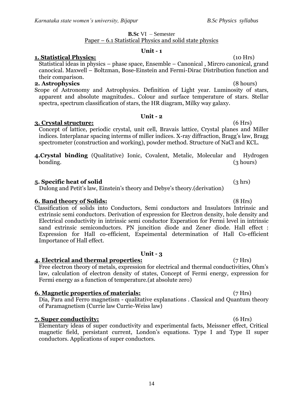### **1. Statistical Physics:** (10 Hrs)

Statistical ideas in physics – phase space, Ensemble – Canonical , Mircro canonical, grand canocical. Maxwell – Boltzman, Bose-Einstein and Fermi-Dirac Distribution function and their comparison.

**B.Sc** VI – Semester Paper – 6.1 Statistical Physics and solid state physics

**Unit - 1**

### **2. Astrophysics** (8 hours)

Scope of Astronomy and Astrophysics. Definition of Light year. Luminosity of stars, apparent and absolute magnitudes.. Colour and surface temperature of stars. Stellar spectra, spectrum classification of stars, the HR diagram, Milky way galaxy.

**Unit - 2**

### **3. Crystal structure:** (6 Hrs)

Concept of lattice, periodic crystal, unit cell, Bravais lattice, Crystal planes and Miller indices. Interplanar spacing interms of miller indices. X-ray diffraction, Bragg's law, Bragg spectrometer (construction and working), powder method. Structure of NaCl and KCL.

**4.Crystal binding** (Qualitative) Ionic, Covalent, Metalic, Molecular and Hydrogen bonding. (3 hours)

### **5. Specific heat of solid** (3 hrs)

Dulong and Petit's law, Einstein's theory and Debye's theory.(derivation)

### **6. Band theory of Solids:** (8 Hrs)

Classification of solids into Conductors, Semi conductors and Insulators Intrinsic and extrinsic semi conductors. Derivation of expression for Electron density, hole density and Electrical conductivity in intrinsic semi conductor Experation for Fermi level in intrinsic sand extrinsic semiconductors. PN juncition diode and Zener diode. Hall effect : Expression for Hall co-efficient, Expeimental determination of Hall Co-efficient Importance of Hall effect.

# **Unit - 3**

### **4. Electrical and thermal properties:** (7 Hrs)

Free electron theory of metals, expression for electrical and thermal conductivities, Ohm's law, calculation of electron density of states, Concept of Fermi energy, expression for Fermi energy as a function of temperature.(at absolute zero)

### **6. Magnetic properties of materials:** (7 Hrs)

Dia, Para and Ferro magnetism - qualitative explanations . Classical and Quantum theory of Paramagnetism (Currie law Currie-Weiss law)

# **7. Super conductivity:** (6 Hrs)

Elementary ideas of super conductivity and experimental facts, Meissner effect, Critical magnetic field, persistant current, London's equations. Type I and Type II super conductors. Applications of super conductors.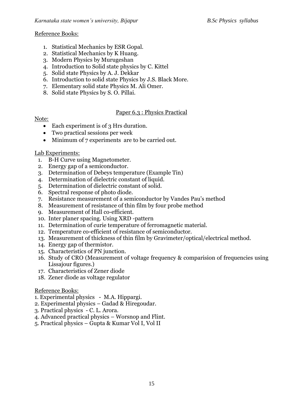# Reference Books:

- 1. Statistical Mechanics by ESR Gopal.
- 2. Statistical Mechanics by K Huang.
- 3. Modern Physics by Murugeshan
- 4. Introduction to Solid state physics by C. Kittel
- 5. Solid state Physics by A. J. Dekkar
- 6. Introduction to solid state Physics by J.S. Black More.
- 7. Elementary solid state Physics M. Ali Omer.
- 8. Solid state Physics by S. O. Pillai.

# Paper 6.3 : Physics Practical

# Note:

- Each experiment is of 3 Hrs duration.
- Two practical sessions per week
- Minimum of 7 experiments are to be carried out.

# Lab Experiments:

- 1. B-H Curve using Magnetometer.
- 2. Energy gap of a semiconductor.
- 3. Determination of Debeys temperature (Example Tin)
- 4. Determination of dielectric constant of liquid.
- 5. Determination of dielectric constant of solid.
- 6. Spectral response of photo diode.
- 7. Resistance measurement of a semiconductor by Vandes Pau's method
- 8. Measurement of resistance of thin film by four probe method
- 9. Measurement of Hall co-efficient.
- 10. Inter planer spacing. Using XRD -pattern
- 11. Determination of curie temperature of ferromagnetic material.
- 12. Temperature co-efficient of resistance of semiconductor.
- 13. Measurement of thickness of thin film by Gravimeter/optical/electrical method.
- 14. Energy gap of thermistor.
- 15. Characteristics of PN junction.
- 16. Study of CRO (Measurement of voltage frequency & comparision of frequencies using Lissajour figures.)
- 17. Characteristics of Zener diode
- 18. Zener diode as voltage regulator

- 1. Experimental physics M.A. Hippargi.
- 2. Experimental physics Gadad & Hiregoudar.
- 3. Practical physics C. L. Arora.
- 4. Advanced practical physics Worsnop and Flint.
- 5. Practical physics Gupta & Kumar Vol I, Vol II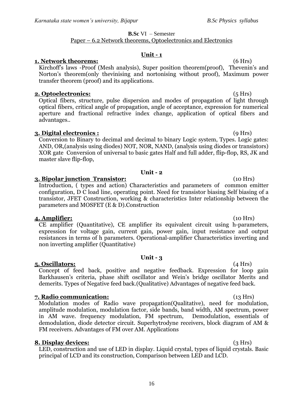# **B.Sc** VI – Semester

# Paper – 6.2 Network theorems, Optoelectronics and Electronics

### **Unit - 1**

# **1. Network theorems:** (6 Hrs)

Kirchoff's laws -Proof (Mesh analysis), Super position theorem(proof), Thevenin's and Norton's theorem(only thevinising and nortonising without proof), Maximum power transfer theorem (proof) and its applications.

### **2. Optoelectronics:** (5 Hrs)

Optical fibers, structure, pulse dispersion and modes of propagation of light through optical fibers, critical angle of propagation, angle of acceptance, expression for numerical aperture and fractional refractive index change, application of optical fibers and advantages..

# **3. Digital electronics :** (9 Hrs)

Conversion to Binary to decimal and decimal to binary Logic system, Types. Logic gates: AND, OR,(analysis using diodes) NOT, NOR, NAND, (analysis using diodes or transistors) XOR gate Conversion of universal to basic gates Half and full adder, flip-flop, RS, JK and master slave flip-flop,

# **Unit - 2**

# **3. Bipolar junction Transistor:** (10 Hrs)

Introduction, ( types and action) Characteristics and parameters of common emitter configuration, D C load line, operating point. Need for transistor biasing Self biasing of a transistor, JFET Construction, working & characteristics Inter relationship between the parameters and MOSFET (E & D).Construction

# **4. Amplifier:** (10 Hrs)

CE amplifier (Quantitative), CE amplifier its equivalent circuit using h-parameters, expression for voltage gain, current gain, power gain, input resistance and output resistances in terms of h parameters. Operational-amplifier Characteristics inverting and non inverting amplifier (Quantitative)

# **Unit - 3**

**5. Oscillators:** (4 Hrs) Concept of feed back, positive and negative feedback. Expression for loop gain Barkhausen's criteria, phase shift oscillator and Wein's bridge oscillator Merits and demerits. Types of Negative feed back.(Qualitative) Advantages of negative feed back.

# **7. Radio communication:** (13 Hrs)

Modulation modes of Radio wave propagation(Qualitative), need for modulation, amplitude modulation, modulation factor, side bands, band width, AM spectrum, power in AM wave. frequency modulation, FM spectrum, Demodulation, essentials of demodulation, diode detector circuit. Superhytrodyne receivers, block diagram of AM & FM receivers. Advantages of FM over AM. Applications

# **8. Display devices:** (3 Hrs)

LED, construction and use of LED in display. Liquid crystal, types of liquid crystals. Basic principal of LCD and its construction, Comparison between LED and LCD.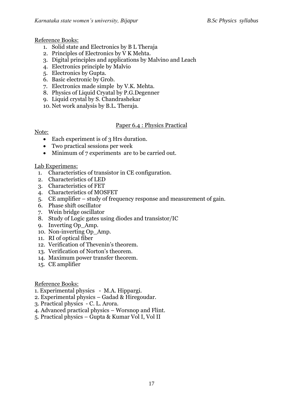# Reference Books:

- 1. Solid state and Electronics by B L Theraja
- 2. Principles of Electronics by V K Mehta.
- 3. Digital principles and applications by Malvino and Leach
- 4. Electronics principle by Malvio
- 5. Electronics by Gupta.
- 6. Basic electronic by Grob.
- 7. Electronics made simple by V.K. Mehta.
- 8. Physics of Liquid Cryatal by P.G.Degenner
- 9. Liquid crystal by S. Chandrashekar
- 10. Net work analysis by B.L. Theraja.

# Paper 6.4 : Physics Practical

# Note:

- Each experiment is of 3 Hrs duration.
- Two practical sessions per week
- Minimum of 7 experiments are to be carried out.

# Lab Experimens:

- 1. Characteristics of transistor in CE configuration.
- 2. Characteristics of LED
- 3. Characteristics of FET
- 4. Characteristics of MOSFET
- 5. CE amplifier study of frequency response and measurement of gain.
- 6. Phase shift oscillator
- 7. Wein bridge oscillator
- 8. Study of Logic gates using diodes and transistor/IC
- 9. Inverting Op\_Amp.
- 10. Non-inverting Op\_Amp.
- 11. RI of optical fiber
- 12. Verification of Thevenin's theorem.
- 13. Verification of Norton's theorem.
- 14. Maximum power transfer theorem.
- 15. CE amplifier

- 1. Experimental physics M.A. Hippargi.
- 2. Experimental physics Gadad & Hiregoudar.
- 3. Practical physics C. L. Arora.
- 4. Advanced practical physics Worsnop and Flint.
- 5. Practical physics Gupta & Kumar Vol I, Vol II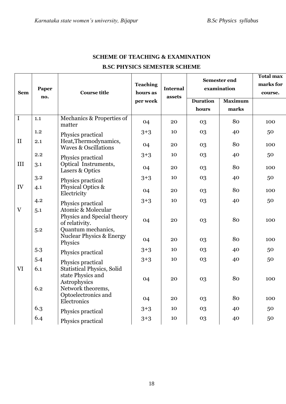| <b>Sem</b>                 | Paper<br>no. | <b>Course title</b>                                                                                                             | <b>Teaching</b><br>hours as<br>per week | <b>Internal</b><br>assets | Semester end<br>examination |                | <b>Total max</b><br>marks for<br>course. |
|----------------------------|--------------|---------------------------------------------------------------------------------------------------------------------------------|-----------------------------------------|---------------------------|-----------------------------|----------------|------------------------------------------|
|                            |              |                                                                                                                                 |                                         |                           | <b>Duration</b>             | <b>Maximum</b> |                                          |
|                            |              |                                                                                                                                 |                                         |                           | hours                       | marks          |                                          |
| $\overline{I}$             | 1.1          | Mechanics & Properties of<br>matter                                                                                             | 04                                      | 20                        | 03                          | 80             | 100                                      |
|                            | 1.2          | Physics practical                                                                                                               | $3+3$                                   | 10                        | 03                          | 40             | 50                                       |
| $\mathbf{I}$               | 2.1          | Heat, Thermodynamics,<br><b>Waves &amp; Oscillations</b>                                                                        | 04                                      | 20                        | 03                          | 80             | 100                                      |
|                            | 2.2          | Physics practical                                                                                                               | $3 + 3$                                 | 10                        | 03                          | 40             | 50                                       |
| III                        | 3.1          | Optical Instruments,<br>Lasers & Optics                                                                                         | 04                                      | 20                        | 03                          | 80             | 100                                      |
|                            | 3.2          | Physics practical                                                                                                               | $3 + 3$                                 | 10                        | 03                          | 40             | 50                                       |
| IV                         | 4.1          | Physical Optics &<br>Electricity                                                                                                | 04                                      | 20                        | 03                          | 80             | 100                                      |
|                            | 4.2          | Physics practical                                                                                                               | $3 + 3$                                 | 10                        | 03                          | 40             | 50                                       |
| $\mathbf{V}$<br>5.1<br>5.2 |              | Atomic & Molecular<br>Physics and Special theory<br>of relativity.<br>Quantum mechanics,<br><b>Nuclear Physics &amp; Energy</b> | 04                                      | 20                        | 03                          | 80             | 100                                      |
|                            |              | Physics                                                                                                                         | 04                                      | 20                        | 03                          | 80             | 100                                      |
|                            | 5.3          | Physics practical                                                                                                               | $3 + 3$                                 | 10                        | 03                          | 40             | 50                                       |
|                            | 5.4          | Physics practical                                                                                                               | $3 + 3$                                 | 10                        | 03                          | 40             | 50                                       |
| <b>VI</b>                  | 6.1          | <b>Statistical Physics, Solid</b><br>state Physics and                                                                          | 04                                      | 20                        | 03                          | 80             | 100                                      |
|                            | 6.2          | Astrophysics<br>Network theorems,                                                                                               |                                         |                           |                             |                |                                          |
|                            |              | Optoelectronics and<br>Electronics                                                                                              | 04                                      | 20                        | 03                          | 80             | 100                                      |
|                            | 6.3          | Physics practical                                                                                                               | $3 + 3$                                 | 10                        | 03                          | 40             | 50                                       |
|                            | 6.4          | Physics practical                                                                                                               | $3 + 3$                                 | 10                        | 03                          | 40             | 50                                       |

# **SCHEME OF TEACHING & EXAMINATION B.SC PHYSICS SEMESTER SCHEME**